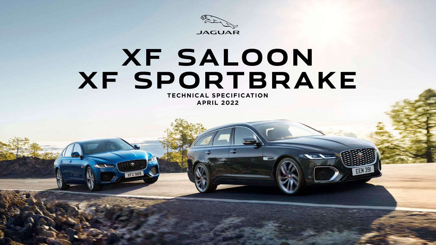

# **XF SALOON XF SPORTBRAKE TECHNICAL SPECIFICATION APRIL 2022**

**XFZ989** 

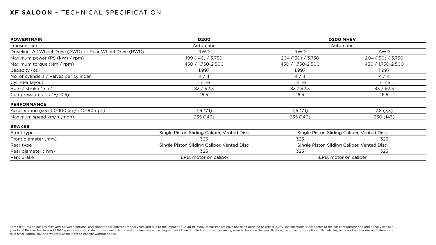| <b>POWERTRAIN</b>                                          | <b>D200</b>                                | <b>D200 MHEV</b>  |                                            |
|------------------------------------------------------------|--------------------------------------------|-------------------|--------------------------------------------|
| Transmission                                               | Automatic                                  |                   | Automatic                                  |
| Driveline: All Wheel Drive (AWD) or Rear Wheel Drive (RWD) | <b>RWD</b>                                 | <b>RWD</b>        | AWD                                        |
| Maximum power (PS (kW) / rpm)                              | 199(146)/3.750                             | 204(150)/3.750    | 204(150)/3.750                             |
| Maximum torque $(Nm / rpm)$                                | 430 / 1.750-2.500                          | 430 / 1.750-2.500 | 430 / 1.750-2.500                          |
| Capacity (cc)                                              | 1.997                                      | 1.997             | 1.997                                      |
| No. of cylinders / Valves per cylinder                     | 4/4                                        | 4/4               | 4/4                                        |
| Cylinder layout                                            | Inline                                     | Inline            | Inline                                     |
| Bore / stroke $(mm)$                                       | 83 / 92.3                                  | 83 / 92.3         | 83 / 92.3                                  |
| Compression ratio $(+/-0.5)$                               | 16.5                                       | 16.5              | 16.5                                       |
| <b>PERFORMANCE</b>                                         |                                            |                   |                                            |
| Acceleration (secs) 0-100 km/h (0-60mph)                   | 7,6(7,1)                                   | 7,6(7,1)          | 7,8(7,3)                                   |
| Maximum speed km/h (mph)                                   | 235 (146)                                  | 235 (146)         | 230 (143)                                  |
| <b>BRAKES</b>                                              |                                            |                   |                                            |
| Front type                                                 | Single Piston Sliding Caliper, Vented Disc |                   | Single Piston Sliding Caliper, Vented Disc |
| Front diameter (mm)                                        | 325                                        | 325               | 325                                        |
| Rear type                                                  | Single Piston Sliding Caliper, Vented Disc |                   | Single Piston Sliding Caliper, Vented Disc |
| Rear diameter (mm)                                         | 325                                        | 325               | 325                                        |
| Park Brake                                                 | iEPB, motor on caliper                     |                   | <b>iEPB, motor on caliper</b>              |

Some features on images may vary between optional and standard for different model years and due to the impact of Covid-19, many of our images have not been updated to reflect 23MY specifications. Please refer to the car c your local Retailer for detailed 23MY specifications and do not base an order on website imagery alone. Jaguar Land Rover Limited is constantly seeking ways to improve the specification, design and production of its vehicl take place continually, and we reserve the right to change without notice.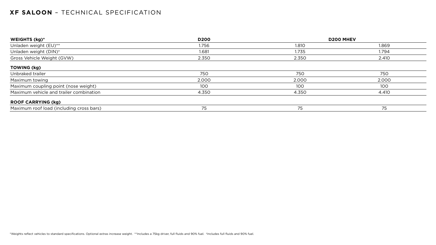| WEIGHTS (kg)*                            | <b>D200</b> |       | <b>D200 MHEV</b> |
|------------------------------------------|-------------|-------|------------------|
| Unladen weight (EU)**                    | 1.756       | 1.810 | 1.869            |
| Unladen weight (DIN) <sup>+</sup>        | 1.681       | 1.735 | 1.794            |
| Gross Vehicle Weight (GVW)               | 2.350       | 2.350 | 2.410            |
| <b>TOWING (kg)</b>                       |             |       |                  |
| Unbraked trailer                         | 750         | 750   | 750              |
| Maximum towing                           | 2.000       | 2.000 | 2.000            |
| Maximum coupling point (nose weight)     | 100         | 100   | 100              |
| Maximum vehicle and trailer combination  | 4.350       | 4.350 | 4.410            |
| <b>ROOF CARRYING (kg)</b>                |             |       |                  |
| Maximum roof load (including cross bars) | 75          | 75    | 75               |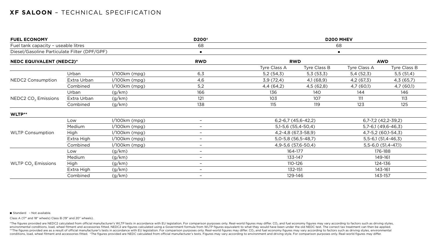|                                     |                 | D200 <sup>+</sup>                            | <b>D200 MHEV</b>   |              |                                                                                                                                                  |                         |  |
|-------------------------------------|-----------------|----------------------------------------------|--------------------|--------------|--------------------------------------------------------------------------------------------------------------------------------------------------|-------------------------|--|
| Fuel tank capacity - useable litres |                 | 68                                           | 68                 |              |                                                                                                                                                  |                         |  |
|                                     |                 | $\blacksquare$                               |                    |              |                                                                                                                                                  |                         |  |
| <b>NEDC EQUIVALENT (NEDC2)*</b>     |                 | <b>RWD</b>                                   |                    |              |                                                                                                                                                  | <b>AWD</b>              |  |
|                                     |                 |                                              | Tyre Class A       | Tyre Class B | Tyre Class A                                                                                                                                     | Tyre Class B            |  |
| Urban                               | $1/100km$ (mpg) | 6,3                                          | 5,2(54,3)          | 5,3(53,3)    | 5,4(52,3)                                                                                                                                        | 5,5(51,4)               |  |
| Extra Urban                         | $1/100km$ (mpg) | 4,6                                          | 3,9(72,4)          | 4,1 (68,9)   | 4,2(67,3)                                                                                                                                        | 4,3(65,7)               |  |
| Combined                            | $1/100km$ (mpg) | 5,2                                          | 4,4(64,2)          | 4,5(62,8)    | 4,7 (60,1)                                                                                                                                       | 4,7(60,1)               |  |
| Urban                               | (g/km)          | 166                                          | 136                | 140          | 144                                                                                                                                              | 146                     |  |
| Extra Urban                         | (g/km)          | 121                                          | 103                | 107          | 111                                                                                                                                              | 113                     |  |
| Combined                            | (g/km)          | 138                                          | 115                | 119          | 123                                                                                                                                              | 125                     |  |
|                                     |                 |                                              |                    |              |                                                                                                                                                  |                         |  |
| Low                                 | $1/100km$ (mpg) | $-$                                          |                    |              |                                                                                                                                                  | $6,7-7,2$ $(42,2-39,2)$ |  |
| Medium                              | $1/100km$ (mpg) | $\qquad \qquad -$                            |                    |              |                                                                                                                                                  | $5,7-6,1(49,6-46,3)$    |  |
| High                                | $1/100km$ (mpg) | $\qquad \qquad -$                            |                    |              |                                                                                                                                                  | 4,7-5,2 (60,1-54,3)     |  |
| Extra High                          | $1/100km$ (mpg) | $-$                                          |                    |              |                                                                                                                                                  | $5,5-6,1(51,4-46,3)$    |  |
| Combined                            | $1/100km$ (mpg) | $-$                                          |                    |              | $5,5-6,0(51,4-47,1)$                                                                                                                             |                         |  |
| Low                                 | (g/km)          | $\overline{\phantom{0}}$                     | 164-177            |              |                                                                                                                                                  | 176-188                 |  |
| Medium                              | (g/km)          | $\overline{\phantom{0}}$                     | 133-147            |              |                                                                                                                                                  | 149-161                 |  |
| High                                | (g/km)          | $\qquad \qquad -$                            | 110-126            |              |                                                                                                                                                  | 124-136                 |  |
| Extra High                          | (g/km)          | $-$                                          |                    |              |                                                                                                                                                  | 143-161                 |  |
| Combined                            | (g/km)          | $-$                                          | 129-146<br>143-157 |              |                                                                                                                                                  |                         |  |
|                                     |                 | Diesel/Gasoline Particulate Filter (DPF/GPF) |                    |              | <b>RWD</b><br>$6,2-6,7$ (45,6-42,2)<br>$5,1-5,6$ (55,4-50,4)<br>4, 2-4, 8 (67, 3-58, 9)<br>5,0-5,8 (56,5-48,7)<br>4,9-5,6 (57,6-50,4)<br>132-151 | $\blacksquare$          |  |

#### ■ Standard - Not available.

Class A (17" and 18" wheels) Class B (19" and 20" wheels).

\*The figures provided are NEDC2 calculated from official manufacturer's WLTP tests in accordance with EU legislation. For comparison purposes only. Real-world figures may differ. CO<sub>2</sub> and fuel economy figures may vary acc environmental conditions, load, wheel fitment and accessories fitted. NEDC2 are figures calculated using a Government formula from WLTP figures equivalent to what they would have been under the old NEDC test. The correct t \*\*The figures provided are as a result of official manufacturer's tests in accordance with EU legislation. For comparison purposes only. Real-world figures may differ. CO<sub>2</sub> and fuel economy figures may vary according to f conditions, load, wheel fitment and accessories fitted. <sup>+</sup>The figures provided are NEDC calculated from official manufacturer's tests. Figures may vary according to environment and driving style. For comparison purposes o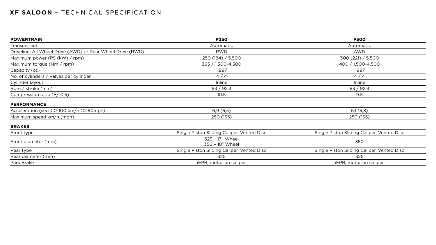| <b>POWERTRAIN</b>                                          | <b>P250</b>                                | <b>P300</b>                                |
|------------------------------------------------------------|--------------------------------------------|--------------------------------------------|
| Transmission                                               | Automatic                                  | Automatic                                  |
| Driveline: All Wheel Drive (AWD) or Rear Wheel Drive (RWD) | <b>RWD</b>                                 | <b>AWD</b>                                 |
| Maximum power (PS $(kW) / rpm)$ )                          | 250(184)/5.500                             | 300(221) / 5.500                           |
| Maximum torque $(Nm / rpm)$                                | 365 / 1.300-4.500                          | 400 / 1.500-4.500                          |
| Capacity (cc)                                              | 1.997                                      | 1.997                                      |
| No. of cylinders / Valves per cylinder                     | 4/4                                        | 4/4                                        |
| Cylinder layout                                            | Inline                                     | Inline                                     |
| Bore / stroke $(mm)$                                       | 83 / 92.3                                  | 83 / 92.3                                  |
| Compression ratio $(+/-0.5)$                               | 10.5                                       | 9.5                                        |
| <b>PERFORMANCE</b>                                         |                                            |                                            |
| Acceleration (secs) 0-100 km/h (0-60mph)                   | 6,9(6,5)                                   | 6,1(5,8)                                   |
| Maximum speed km/h (mph)                                   | 250 (155)                                  | 250 (155)                                  |
| <b>BRAKES</b>                                              |                                            |                                            |
| Front type                                                 | Single Piston Sliding Caliper, Vented Disc | Single Piston Sliding Caliper, Vented Disc |
| Front diameter (mm)                                        | 325 - 17" Wheel<br>350 - 18" Wheel         | 350                                        |
| Rear type                                                  | Single Piston Sliding Caliper, Vented Disc | Single Piston Sliding Caliper, Vented Disc |
| Rear diameter (mm)                                         | 325                                        | 325                                        |
| Park Brake                                                 | iEPB, motor on caliper                     | iEPB, motor on caliper                     |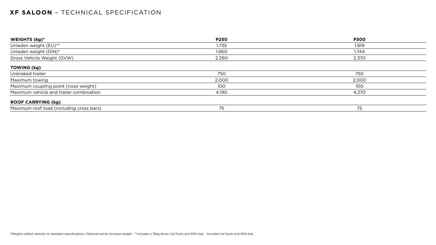| <b>WEIGHTS (kg)*</b>                     | <b>P250</b> | <b>P300</b> |
|------------------------------------------|-------------|-------------|
| Unladen weight (EU)**                    | 1.735       | 1.819       |
| Unladen weight (DIN) <sup>+</sup>        | 1.660       | 1.744       |
| Gross Vehicle Weight (GVW)               | 2.290       | 2.370       |
| <b>TOWING (kg)</b>                       |             |             |
| Unbraked trailer                         | 750         | 750         |
| Maximum towing                           | 2.000       | 2.000       |
| Maximum coupling point (nose weight)     | 100         | 100         |
| Maximum vehicle and trailer combination  | 4.190       | 4.270       |
| <b>ROOF CARRYING (kg)</b>                |             |             |
| Maximum roof load (including cross bars) | 75          | 75          |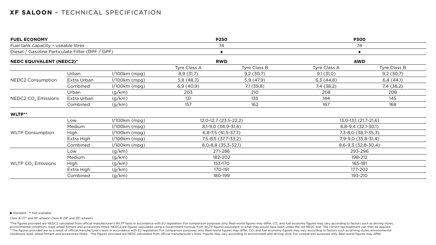| <b>FUEL ECONOMY</b>                                                                                                        |             |                 | <b>P250</b>           |                      | <b>P300</b>           |              |
|----------------------------------------------------------------------------------------------------------------------------|-------------|-----------------|-----------------------|----------------------|-----------------------|--------------|
| Fuel tank capacity - useable litres<br>Diesel / Gasoline Particulate Filter (DPF / GPF)<br><b>NEDC EQUIVALENT (NEDC2)*</b> |             | 74              |                       | 74                   |                       |              |
|                                                                                                                            |             |                 | $\blacksquare$        | $\blacksquare$       |                       |              |
|                                                                                                                            |             | <b>RWD</b>      |                       | <b>AWD</b>           |                       |              |
|                                                                                                                            |             |                 | Tyre Class A          | Tyre Class B         | Tyre Class A          | Tyre Class B |
|                                                                                                                            | Urban       | $1/100km$ (mpg) | 8,9(31,7)             | 9,2(30,7)            | 9,1(31,0)             | 9,2(30,7)    |
| <b>NEDC2 Consumption</b>                                                                                                   | Extra Urban | $1/100km$ (mpg) | 5,8 (48,7)            | 5,9(47,9)            | 6,3(44,8)             | 6,4(44,1)    |
|                                                                                                                            | Combined    | $1/100km$ (mpg) | 6,9(40,9)             | 7,1 (39,8)           | 7,4 (38,2)            | 7,4 (38,2)   |
|                                                                                                                            | Urban       | (g/km)          | 203                   | 210                  | 208                   | 208          |
| NEDC2 $CO2$ Emissions                                                                                                      | Extra Urban | (g/km)          | 131                   | 135                  | 144                   | 145          |
|                                                                                                                            | Combined    | (g/km)          | 157                   | 162                  | 167                   | 168          |
| WLTP**                                                                                                                     |             |                 |                       |                      |                       |              |
|                                                                                                                            | Low         | $1/100km$ (mpg) | 12,0-12,7 (23,5-22,2) |                      | 13,0-13,1 (21,7-21,6) |              |
|                                                                                                                            | Medium      | $1/100km$ (mpg) |                       | 8,1-9,0 (34,9-31,4)  | $8,8-9,4(32,1-30,1)$  |              |
| <b>WLTP Consumption</b>                                                                                                    | <b>High</b> | $1/100km$ (mpg) |                       | $6,8-7,5(41,5-37,7)$ | 7,3-8,0 (38,7-35,3)   |              |
|                                                                                                                            | Extra High  | $1/100km$ (mpg) |                       | 7,5-8,5 (37,7-33,2)  | 7,9-9,0 (35,8-31,4)   |              |
|                                                                                                                            | Combined    | $1/100km$ (mpg) | 8,0-8,8 (35,3-32,1)   |                      | 8,6-9,3 (32,8-30,4)   |              |
|                                                                                                                            | Low         | (g/km)          | 271-286               |                      | 293-296               |              |
|                                                                                                                            | Medium      | (g/km)          | 182-202               |                      | 198-212               |              |
| WLTP $CO2$ Emissions                                                                                                       | <b>High</b> | (g/km)          | 153-170               |                      | 165-181               |              |
|                                                                                                                            | Extra High  | (g/km)          |                       | 170-191              | 177-202               |              |
|                                                                                                                            | Combined    | (g/km)          |                       | 180-199              | 193-210               |              |

#### ■ Standard  $-$  Not available.

Class A (17" and 18" wheels) Class B (19" and 20" wheels).

\*The figures provided are NEDC2 calculated from official manufacturer's WLTP tests in accordance with EU legislation. For comparison purposes only. Real-world figures may differ. CO<sub>2</sub> and fuel economy figures may vary acc environmental conditions, load, wheel fitment and accessories fitted. NEDC2 are figures calculated using a Government formula from WLTP figures equivalent to what they would have been under the old NEDC test. The correct t \*\*The figures provided are as a result of official manufacturer's tests in accordance with EU legislation. For comparison purposes only. Real-world figures may differ. CO<sub>2</sub> and fuel economy figures may vary according to f conditions, load, wheel fitment and accessories fitted. +The figures provided are NEDC calculated from official manufacturer's tests. Figures may vary according to environment and driving style. For comparison purposes onl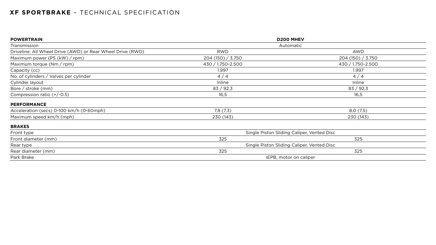| <b>POWERTRAIN</b>                                          | <b>D200 MHEV</b>                           |                   |  |  |
|------------------------------------------------------------|--------------------------------------------|-------------------|--|--|
| Transmission                                               | Automatic                                  |                   |  |  |
| Driveline: All Wheel Drive (AWD) or Rear Wheel Drive (RWD) | <b>RWD</b>                                 | <b>AWD</b>        |  |  |
| Maximum power (PS (kW) / rpm)                              | 204(150)/3.750                             | 204(150)/3.750    |  |  |
| Maximum torque $(Nm / rpm)$                                | 430 / 1.750-2.500                          | 430 / 1.750-2.500 |  |  |
| Capacity (cc)                                              | 1.997                                      | 1.997             |  |  |
| No. of cylinders / Valves per cylinder                     | 4/4                                        | 4/4               |  |  |
| Cylinder layout                                            | Inline                                     | Inline            |  |  |
| Bore / stroke $(mm)$                                       | 83 / 92,3                                  | 83 / 92,3         |  |  |
| Compression ratio $(+/-0.5)$                               | 16,5                                       | 16,5              |  |  |
| <b>PERFORMANCE</b>                                         |                                            |                   |  |  |
| Acceleration (secs) 0-100 km/h (0-60mph)                   | 7,8(7,3)                                   | 8,0(7,5)          |  |  |
| Maximum speed km/h (mph)                                   | 230 (143)                                  | 230 (143)         |  |  |
| <b>BRAKES</b>                                              |                                            |                   |  |  |
| Front type                                                 | Single Piston Sliding Caliper, Vented Disc |                   |  |  |
| Front diameter (mm)                                        | 325<br>325                                 |                   |  |  |
| Rear type                                                  | Single Piston Sliding Caliper, Vented Disc |                   |  |  |
| Rear diameter (mm)                                         | 325<br>325                                 |                   |  |  |
| Park Brake                                                 | iEPB, motor on caliper                     |                   |  |  |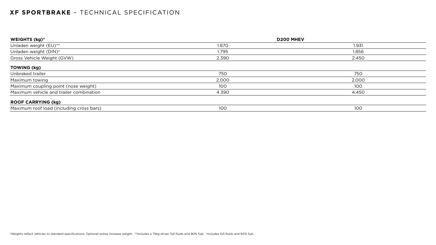| WEIGHTS (kg)*                            | <b>D200 MHEV</b> |       |  |  |
|------------------------------------------|------------------|-------|--|--|
| Unladen weight (EU)**                    | 1.870            | 1.931 |  |  |
| Unladen weight (DIN) <sup>+</sup>        | 1.795            | 1.856 |  |  |
| Gross Vehicle Weight (GVW)               | 2.390            | 2.450 |  |  |
| <b>TOWING (kg)</b>                       |                  |       |  |  |
| Unbraked trailer                         | 750              | 750   |  |  |
| Maximum towing                           | 2.000            | 2.000 |  |  |
| Maximum coupling point (nose weight)     | 100              | 100   |  |  |
| Maximum vehicle and trailer combination  | 4.390            | 4.450 |  |  |
| <b>ROOF CARRYING (kg)</b>                |                  |       |  |  |
| Maximum roof load (including cross bars) | 100              | 100   |  |  |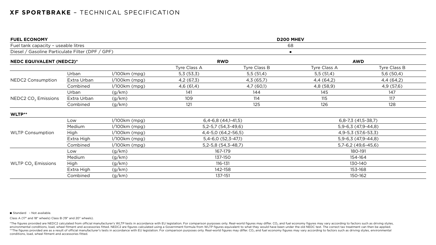| <b>FUEL ECONOMY</b>                              |             |                 | <b>D200 MHEV</b> |                      |                               |            |
|--------------------------------------------------|-------------|-----------------|------------------|----------------------|-------------------------------|------------|
| Fuel tank capacity - useable litres              |             |                 |                  |                      | 68                            |            |
| Diesel / Gasoline Particulate Filter (DPF / GPF) |             |                 |                  |                      | $\blacksquare$                |            |
| <b>NEDC EQUIVALENT (NEDC2)*</b>                  |             | <b>RWD</b>      |                  |                      | <b>AWD</b>                    |            |
|                                                  |             | Tyre Class A    | Tyre Class B     | Tyre Class A         | Tyre Class B                  |            |
|                                                  | Urban       | $1/100km$ (mpg) | 5,3(53,3)        | 5,5(51,4)            | 5,5(51,4)                     | 5,6(50,4)  |
| <b>NEDC2 Consumption</b>                         | Extra Urban | $1/100km$ (mpg) | 4,2 (67,3)       | 4,3(65,7)            | 4,4 (64,2)                    | 4,4 (64,2) |
|                                                  | Combined    | $1/100km$ (mpg) | 4,6(61,4)        | 4,7(60,1)            | 4,8 (58,9)                    | 4,9(57,6)  |
|                                                  | Urban       | (g/km)          | 141              | 144                  | 145                           | 147        |
| NEDC2 CO <sub>2</sub> Emissions                  | Extra Urban | (g/km)          | 109              | 114                  | 115                           | 117        |
|                                                  | Combined    | (g/km)          | 121              | 125                  | 126                           | 128        |
| WLTP**                                           |             |                 |                  |                      |                               |            |
|                                                  | Low         | $1/100km$ (mpg) |                  | $6,4-6,8(44,1-41,5)$ | $6, 8 - 7, 3$ (41, 5 - 38, 7) |            |
|                                                  | Medium      | $1/100km$ (mpg) |                  | $5,2-5,7(54,3-49,6)$ | $5,9-6,3(47,9-44,8)$          |            |
| <b>WLTP Consumption</b>                          | High        | $1/100km$ (mpg) |                  | 4,4-5,0 (64,2-56,5)  | 4,9-5,3 (57,6-53,3)           |            |
|                                                  | Extra High  | $1/100km$ (mpg) |                  | $5,4-6,0(52,3-47,1)$ | $5,9-6,3(47,9-44,8)$          |            |
|                                                  | Combined    | $1/100km$ (mpg) |                  | $5,2-5,8(54,3-48,7)$ | $5,7-6,2$ (49,6-45,6)         |            |
|                                                  | Low         | (g/km)          | 167-179          |                      | 180-191                       |            |
|                                                  | Medium      | (g/km)          |                  | 137-150              | 154-164                       |            |
| WLTP $CO2$ Emissions                             | High        | (g/km)          | 116-131          |                      | 130-140                       |            |
|                                                  | Extra High  | (g/km)          |                  | 142-158              | 153-168                       |            |
|                                                  | Combined    | (g/km)          |                  | 137-151              | 150-162                       |            |

■ Standard - Not available.

\*The figures provided are NEDC2 calculated from official manufacturer's WLTP tests in accordance with EU legislation. For comparison purposes only. Real-world figures may differ. CO<sub>2</sub> and fuel economy figures may vary acc environmental conditions, load, wheel fitment and accessories fitted. NEDC2 are figures calculated using a Government formula from WLTP figures equivalent to what they would have been under the old NEDC test. The correct t \*\*The figures provided are as a result of official manufacturer's tests in accordance with EU legislation. For comparison purposes only. Real-world figures may differ. CO<sub>2</sub> and fuel economy figures may vary according to f conditions, load, wheel fitment and accessories fitted.

Class A (17" and 18" wheels) Class B (19" and 20" wheels).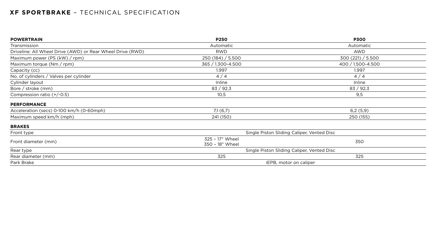| <b>POWERTRAIN</b>                                          | <b>P250</b>                                | <b>P300</b>                                |  |
|------------------------------------------------------------|--------------------------------------------|--------------------------------------------|--|
| Transmission                                               | Automatic                                  | Automatic                                  |  |
| Driveline: All Wheel Drive (AWD) or Rear Wheel Drive (RWD) | <b>RWD</b>                                 | <b>AWD</b>                                 |  |
| Maximum power (PS (kW) / rpm)                              | 250(184)/5.500                             | 300(221) / 5.500                           |  |
| Maximum torque $(Nm / rpm)$                                | 365 / 1.300-4.500                          | 400 / 1.500-4.500                          |  |
| Capacity (cc)                                              | 1.997                                      | 1.997                                      |  |
| No. of cylinders / Valves per cylinder                     | 4/4                                        | 4/4                                        |  |
| Cylinder layout                                            | Inline                                     | Inline                                     |  |
| Bore / stroke (mm)                                         | 83 / 92,3                                  | 83 / 92,3                                  |  |
| Compression ratio $(+/-0.5)$                               | 10,5                                       | 9,5                                        |  |
| <b>PERFORMANCE</b>                                         |                                            |                                            |  |
| Acceleration (secs) 0-100 km/h (0-60mph)                   | 7,1(6,7)                                   | 6,2(5,9)                                   |  |
| Maximum speed km/h (mph)                                   | 241 (150)                                  | 250 (155)                                  |  |
| <b>BRAKES</b>                                              |                                            |                                            |  |
| Front type                                                 |                                            | Single Piston Sliding Caliper, Vented Disc |  |
| Front diameter (mm)                                        | 325 - 17" Wheel<br>350<br>350 - 18" Wheel  |                                            |  |
| Rear type                                                  | Single Piston Sliding Caliper, Vented Disc |                                            |  |
| Rear diameter (mm)                                         | 325<br>325                                 |                                            |  |
| Park Brake                                                 | iEPB, motor on caliper                     |                                            |  |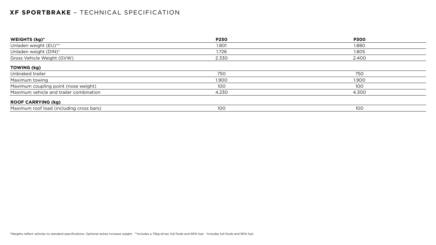| <b>WEIGHTS (kg)*</b>                     | <b>P250</b> | <b>P300</b> |
|------------------------------------------|-------------|-------------|
| Unladen weight (EU)**                    | 1.801       | 1.880       |
| Unladen weight (DIN) <sup>+</sup>        | 1.726       | 1.805       |
| Gross Vehicle Weight (GVW)               | 2.330       | 2.400       |
| <b>TOWING (kg)</b>                       |             |             |
| Unbraked trailer                         | 750         | 750         |
| Maximum towing                           | 1.900       | 1.900       |
| Maximum coupling point (nose weight)     | 100         | 100         |
| Maximum vehicle and trailer combination  | 4.230       | 4.300       |
| <b>ROOF CARRYING (kg)</b>                |             |             |
| Maximum roof load (including cross bars) | 100         | 100         |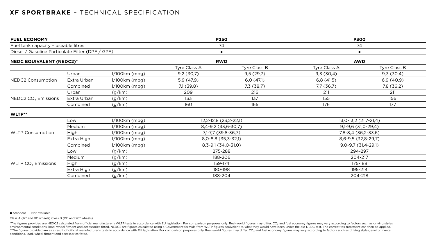| <b>FUEL ECONOMY</b><br>Fuel tank capacity - useable litres<br>Diesel / Gasoline Particulate Filter (DPF / GPF) |             |                 | <b>P250</b><br>74<br>$\blacksquare$ |            | <b>P300</b><br>74<br>$\blacksquare$ |            |                                 |  |  |              |              |              |              |
|----------------------------------------------------------------------------------------------------------------|-------------|-----------------|-------------------------------------|------------|-------------------------------------|------------|---------------------------------|--|--|--------------|--------------|--------------|--------------|
|                                                                                                                |             |                 |                                     |            |                                     |            | <b>NEDC EQUIVALENT (NEDC2)*</b> |  |  | <b>RWD</b>   |              | <b>AWD</b>   |              |
|                                                                                                                |             |                 |                                     |            |                                     |            |                                 |  |  | Tyre Class A | Tyre Class B | Tyre Class A | Tyre Class B |
| <b>NEDC2 Consumption</b>                                                                                       | Urban       | $1/100km$ (mpg) | 9,2(30,7)                           | 9,5(29,7)  | 9,3(30,4)                           | 9,3(30,4)  |                                 |  |  |              |              |              |              |
|                                                                                                                | Extra Urban | $1/100km$ (mpg) | 5,9(47,9)                           | 6,0(47,1)  | 6,8(41,5)                           | 6,9(40,9)  |                                 |  |  |              |              |              |              |
|                                                                                                                | Combined    | $1/100km$ (mpg) | 7,1(39,8)                           | 7,3 (38,7) | 7,7 (36,7)                          | 7,8 (36,2) |                                 |  |  |              |              |              |              |
| NEDC2 $CO2$ Emissions                                                                                          | Urban       | (g/km)          | 209                                 | 216        | 211                                 | 211        |                                 |  |  |              |              |              |              |
|                                                                                                                | Extra Urban | (g/km)          | 133                                 | 137        | 155                                 | 156        |                                 |  |  |              |              |              |              |
|                                                                                                                | Combined    | (g/km)          | 160                                 | 165        | 176                                 | 177        |                                 |  |  |              |              |              |              |
| WLTP**                                                                                                         |             |                 |                                     |            |                                     |            |                                 |  |  |              |              |              |              |
| <b>WLTP Consumption</b>                                                                                        | Low         | $1/100km$ (mpg) | 12,2-12,8 (23,2-22,1)               |            | 13,0-13,2 (21,7-21,4)               |            |                                 |  |  |              |              |              |              |
|                                                                                                                | Medium      | $1/100km$ (mpg) | 8,4-9,2 (33,6-30,7)                 |            | $9,1-9,6$ (31,0-29,4)               |            |                                 |  |  |              |              |              |              |
|                                                                                                                | High        | $1/100km$ (mpg) | 7,1-7,7 (39,8-36,7)                 |            | 7,8-8,4 (36,2-33,6)                 |            |                                 |  |  |              |              |              |              |
|                                                                                                                | Extra High  | $1/100km$ (mpg) | $8,0-8,8$ (35,3-32,1)               |            | 8,6-9,5 (32,8-29,7)                 |            |                                 |  |  |              |              |              |              |
|                                                                                                                | Combined    | $1/100km$ (mpg) | $8,3-9,1(34,0-31,0)$                |            | $9,0-9,7$ (31,4-29,1)               |            |                                 |  |  |              |              |              |              |
| WLTP $CO2$ Emissions                                                                                           | Low         | (g/km)          | 275-288                             |            | 294-297                             |            |                                 |  |  |              |              |              |              |
|                                                                                                                | Medium      | (g/km)          | 188-206                             |            | 204-217                             |            |                                 |  |  |              |              |              |              |
|                                                                                                                | High        | (g/km)          | 159-174                             |            | 175-188                             |            |                                 |  |  |              |              |              |              |
|                                                                                                                | Extra High  | (g/km)          | 180-198                             |            | 195-214                             |            |                                 |  |  |              |              |              |              |
|                                                                                                                | Combined    | (g/km)          | 188-204                             |            | 204-218                             |            |                                 |  |  |              |              |              |              |

■ Standard - Not available.

\*The figures provided are NEDC2 calculated from official manufacturer's WLTP tests in accordance with EU legislation. For comparison purposes only. Real-world figures may differ. CO<sub>2</sub> and fuel economy figures may vary acc environmental conditions, load, wheel fitment and accessories fitted. NEDC2 are figures calculated using a Government formula from WLTP figures equivalent to what they would have been under the old NEDC test. The correct t \*\*The figures provided are as a result of official manufacturer's tests in accordance with EU legislation. For comparison purposes only. Real-world figures may differ. CO<sub>2</sub> and fuel economy figures may vary according to f conditions, load, wheel fitment and accessories fitted.

Class A (17" and 18" wheels) Class B (19" and 20" wheels).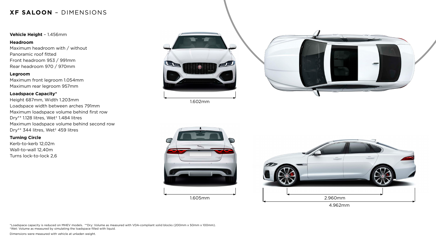## **XF SALOON** – DIMENSIONS

### **Vehicle Height** – 1.456mm

#### **Headroom**

Maximum headroom with / without Panoramic roof fitted Front headroom 953 / 991mm Rear headroom 970 / 970mm

#### **Legroom**

Maximum front legroom 1.054mm Maximum rear legroom 957mm

#### **Loadspace Capacity\***

Height 687mm, Width 1.203mm Loadspace width between arches 791mm Maximum loadspace volume behind first row Dry\*\* 1.128 litres, Wet† 1.484 litres Maximum loadspace volume behind second row Dry\*\* 344 litres, Wet† 459 litres

### **Turning Circle**

Kerb-to-kerb 12,02m Wall-to-wall 12,40m Turns lock-to-lock 2,6



\*Loadspace capacity is reduced on MHEV models. \*\*Dry: Volume as measured with VDA-compliant solid blocks (200mm x 50mm x 100mm). †Wet: Volume as measured by simulating the loadspace filled with liquid.

Dimensions were measured with vehicle at unladen weight.



4.962mm

1.602mm